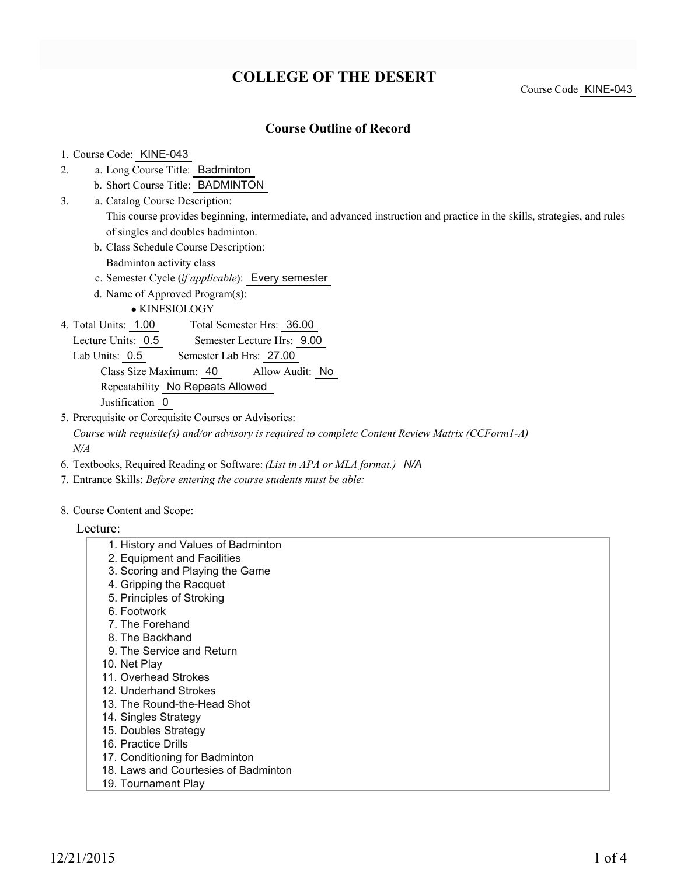# **COLLEGE OF THE DESERT**

Course Code KINE-043

### **Course Outline of Record**

#### 1. Course Code: KINE-043

- a. Long Course Title: Badminton 2.
	- b. Short Course Title: BADMINTON
- Catalog Course Description: a. 3.

This course provides beginning, intermediate, and advanced instruction and practice in the skills, strategies, and rules of singles and doubles badminton.

- b. Class Schedule Course Description: Badminton activity class
- c. Semester Cycle (*if applicable*): Every semester
- d. Name of Approved Program(s):

KINESIOLOGY

Total Semester Hrs: 36.00 4. Total Units: 1.00

Lecture Units: 0.5 Semester Lecture Hrs: 9.00

Lab Units: 0.5 Semester Lab Hrs: 27.00

Class Size Maximum: 40 Allow Audit: No Repeatability No Repeats Allowed

Justification 0

5. Prerequisite or Corequisite Courses or Advisories:

*Course with requisite(s) and/or advisory is required to complete Content Review Matrix (CCForm1-A) N/A*

- 6. Textbooks, Required Reading or Software: *(List in APA or MLA format.) N/A*
- 7. Entrance Skills: *Before entering the course students must be able:*
- 8. Course Content and Scope:

#### Lecture:

- 1. History and Values of Badminton 2. Equipment and Facilities
- 3. Scoring and Playing the Game
- 4. Gripping the Racquet
- 5. Principles of Stroking
- 6. Footwork
- 7. The Forehand
- 8. The Backhand
- 9. The Service and Return
- 10. Net Play
- 11. Overhead Strokes
- 12. Underhand Strokes
- 13. The Round-the-Head Shot
- 14. Singles Strategy
- 15. Doubles Strategy
- 16. Practice Drills
- 17. Conditioning for Badminton
- 18. Laws and Courtesies of Badminton
- 19. Tournament Play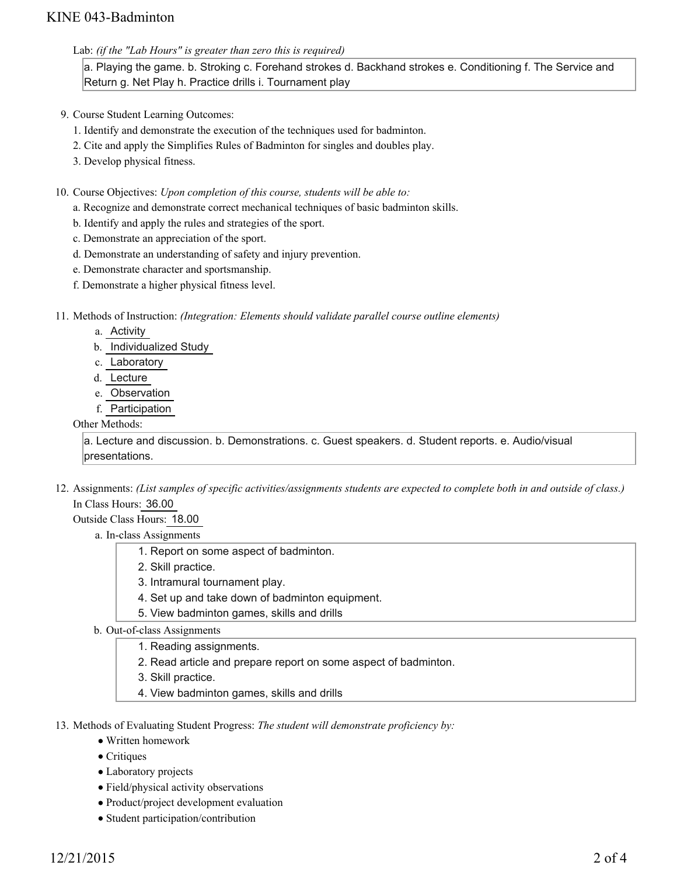### KINE 043-Badminton

Lab: *(if the "Lab Hours" is greater than zero this is required)*

a. Playing the game. b. Stroking c. Forehand strokes d. Backhand strokes e. Conditioning f. The Service and Return g. Net Play h. Practice drills i. Tournament play

- 9. Course Student Learning Outcomes:
	- 1. Identify and demonstrate the execution of the techniques used for badminton.
	- 2. Cite and apply the Simplifies Rules of Badminton for singles and doubles play.
	- 3. Develop physical fitness.
- 10. Course Objectives: Upon completion of this course, students will be able to:
	- a. Recognize and demonstrate correct mechanical techniques of basic badminton skills.
	- b. Identify and apply the rules and strategies of the sport.
	- c. Demonstrate an appreciation of the sport.
	- d. Demonstrate an understanding of safety and injury prevention.
	- e. Demonstrate character and sportsmanship.
	- f. Demonstrate a higher physical fitness level.
- 11. Methods of Instruction: *(Integration: Elements should validate parallel course outline elements)* 
	- a. Activity
	- b. Individualized Study
	- c. Laboratory
	- d. Lecture
	- e. Observation
	- f. Participation

#### Other Methods:

a. Lecture and discussion. b. Demonstrations. c. Guest speakers. d. Student reports. e. Audio/visual presentations.

- 12. Assignments: (List samples of specific activities/assignments students are expected to complete both in and outside of class.) In Class Hours: 36.00
	- Outside Class Hours: 18.00
		- a. In-class Assignments
			- 1. Report on some aspect of badminton.
			- 2. Skill practice.
			- 3. Intramural tournament play.
			- 4. Set up and take down of badminton equipment.
			- 5. View badminton games, skills and drills
		- b. Out-of-class Assignments
			- 1. Reading assignments.
			- 2. Read article and prepare report on some aspect of badminton.
			- 3. Skill practice.
			- 4. View badminton games, skills and drills
- 13. Methods of Evaluating Student Progress: The student will demonstrate proficiency by:
	- Written homework
	- $\bullet$  Critiques
	- Laboratory projects
	- Field/physical activity observations
	- Product/project development evaluation
	- Student participation/contribution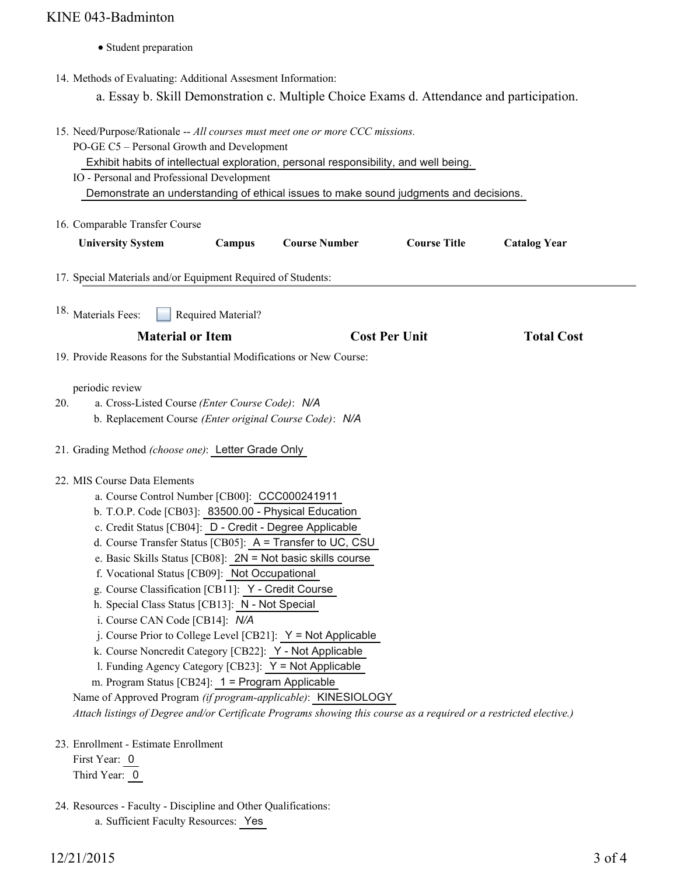## KINE 043-Badminton

• Student preparation

14. Methods of Evaluating: Additional Assesment Information:

a. Essay b. Skill Demonstration c. Multiple Choice Exams d. Attendance and participation.

|                                                                                                                                                                                                                                                                                                                                                                                                                                                                                                                                                                                                                                                                                                                                                                                                                                                                                                                                                                                                                | 15. Need/Purpose/Rationale -- All courses must meet one or more CCC missions.<br>PO-GE C5 - Personal Growth and Development<br>Exhibit habits of intellectual exploration, personal responsibility, and well being.<br>IO - Personal and Professional Development<br>Demonstrate an understanding of ethical issues to make sound judgments and decisions. |                    |                      |                      |                     |  |
|----------------------------------------------------------------------------------------------------------------------------------------------------------------------------------------------------------------------------------------------------------------------------------------------------------------------------------------------------------------------------------------------------------------------------------------------------------------------------------------------------------------------------------------------------------------------------------------------------------------------------------------------------------------------------------------------------------------------------------------------------------------------------------------------------------------------------------------------------------------------------------------------------------------------------------------------------------------------------------------------------------------|------------------------------------------------------------------------------------------------------------------------------------------------------------------------------------------------------------------------------------------------------------------------------------------------------------------------------------------------------------|--------------------|----------------------|----------------------|---------------------|--|
|                                                                                                                                                                                                                                                                                                                                                                                                                                                                                                                                                                                                                                                                                                                                                                                                                                                                                                                                                                                                                | 16. Comparable Transfer Course<br><b>University System</b>                                                                                                                                                                                                                                                                                                 | Campus             | <b>Course Number</b> | <b>Course Title</b>  | <b>Catalog Year</b> |  |
|                                                                                                                                                                                                                                                                                                                                                                                                                                                                                                                                                                                                                                                                                                                                                                                                                                                                                                                                                                                                                | 17. Special Materials and/or Equipment Required of Students:                                                                                                                                                                                                                                                                                               |                    |                      |                      |                     |  |
|                                                                                                                                                                                                                                                                                                                                                                                                                                                                                                                                                                                                                                                                                                                                                                                                                                                                                                                                                                                                                | 18. Materials Fees:<br><b>Material or Item</b>                                                                                                                                                                                                                                                                                                             | Required Material? |                      | <b>Cost Per Unit</b> | <b>Total Cost</b>   |  |
|                                                                                                                                                                                                                                                                                                                                                                                                                                                                                                                                                                                                                                                                                                                                                                                                                                                                                                                                                                                                                | 19. Provide Reasons for the Substantial Modifications or New Course:                                                                                                                                                                                                                                                                                       |                    |                      |                      |                     |  |
| 20.                                                                                                                                                                                                                                                                                                                                                                                                                                                                                                                                                                                                                                                                                                                                                                                                                                                                                                                                                                                                            | periodic review<br>a. Cross-Listed Course (Enter Course Code): N/A<br>b. Replacement Course (Enter original Course Code): N/A                                                                                                                                                                                                                              |                    |                      |                      |                     |  |
| 21. Grading Method (choose one): Letter Grade Only<br>22. MIS Course Data Elements<br>a. Course Control Number [CB00]: CCC000241911<br>b. T.O.P. Code [CB03]: 83500.00 - Physical Education<br>c. Credit Status [CB04]: D - Credit - Degree Applicable<br>d. Course Transfer Status [CB05]: A = Transfer to UC, CSU<br>e. Basic Skills Status [CB08]: $2N = Not$ basic skills course<br>f. Vocational Status [CB09]: Not Occupational<br>g. Course Classification [CB11]: Y - Credit Course<br>h. Special Class Status [CB13]: N - Not Special<br>i. Course CAN Code [CB14]: N/A<br>j. Course Prior to College Level [CB21]: Y = Not Applicable<br>k. Course Noncredit Category [CB22]: Y - Not Applicable<br>1. Funding Agency Category [CB23]: Y = Not Applicable<br>m. Program Status [CB24]: 1 = Program Applicable<br>Name of Approved Program (if program-applicable): KINESIOLOGY<br>Attach listings of Degree and/or Certificate Programs showing this course as a required or a restricted elective.) |                                                                                                                                                                                                                                                                                                                                                            |                    |                      |                      |                     |  |
|                                                                                                                                                                                                                                                                                                                                                                                                                                                                                                                                                                                                                                                                                                                                                                                                                                                                                                                                                                                                                | 23. Enrollment - Estimate Enrollment<br>First Year: 0<br>Third Year: 0                                                                                                                                                                                                                                                                                     |                    |                      |                      |                     |  |

24. Resources - Faculty - Discipline and Other Qualifications:

a. Sufficient Faculty Resources: Yes